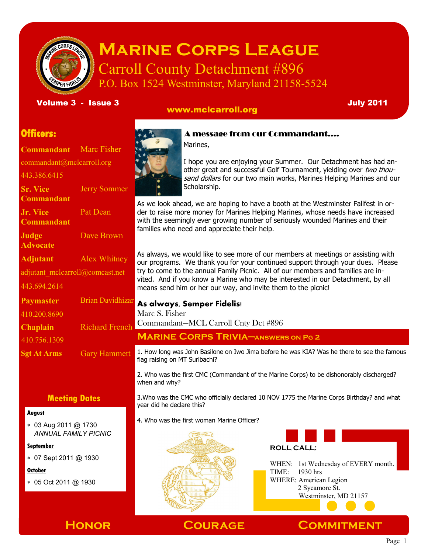

# **Marine Corps League** Carroll County Detachment #896

P.O. Box 1524 Westminster, Maryland 21158-5524

Volume 3 - Issue 3 July 2011

# www.mclcarroll.org

# **Officers:**

**Commandant** Marc Fisher commandant@mclcarroll.org 443.386.6415 **Sr. Vice Commandant** Jerry Sommer **Jr. Vice Commandant** Pat Dean **Judge Advocate** Dave Brown **Adjutant** Alex Whitney adjutant\_mclcarroll@comcast.net 443.694.2614 **Paymaster** Brian Davidhizar **Chaplain** Richard French **Sgt At Arms** Gary Hammett 410.200.8690 410.756.1309

# **Meeting Dates**

#### **August**

 03 Aug 2011 @ 1730 *ANNUAL FAMILY PICNIC*

**September**

07 Sept 2011 @ 1930

#### **October**

05 Oct 2011 @ 1930



# A message from our Commandant….

Marines,



I hope you are enjoying your Summer. Our Detachment has had another great and successful Golf Tournament, yielding over two thousand dollars for our two main works, Marines Helping Marines and our Scholarship.

As we look ahead, we are hoping to have a booth at the Westminster Fallfest in order to raise more money for Marines Helping Marines, whose needs have increased with the seemingly ever growing number of seriously wounded Marines and their families who need and appreciate their help.

As always, we would like to see more of our members at meetings or assisting with our programs. We thank you for your continued support through your dues. Please try to come to the annual Family Picnic. All of our members and families are invited. And if you know a Marine who may be interested in our Detachment, by all means send him or her our way, and invite them to the picnic!

### **As always, Semper Fidelis!**

Marc S. Fisher

Commandant—MCL Carroll Cnty Det #896

**Marine Corps Trivia—answers on Pg 2**

1. How long was John Basilone on Iwo Jima before he was KIA? Was he there to see the famous flag raising on MT Suribachi?

2. Who was the first CMC (Commandant of the Marine Corps) to be dishonorably discharged? when and why?

3.Who was the CMC who officially declared 10 NOV 1775 the Marine Corps Birthday? and what year did he declare this?

4. Who was the first woman Marine Officer?



**ROLL CALL:** WHEN: 1st Wednesday of EVERY month. TIME: 1930 hrs WHERE: American Legion

 2 Sycamore St. Westminster, MD 21157

**Honor Courage Commitment**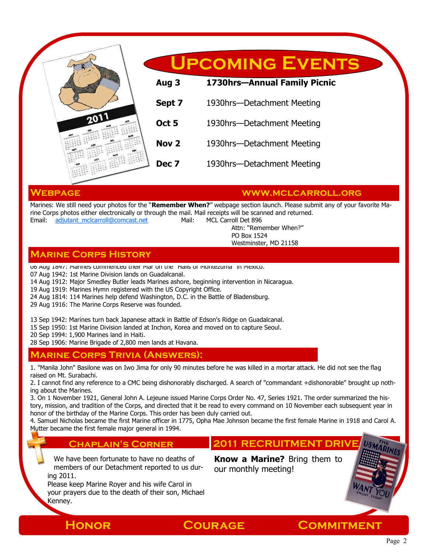

#### **Webpage www.mclcarroll.org**

Marines: We still need your photos for the "**Remember When?**" webpage section launch. Please submit any of your favorite Marine Corps photos either electronically or through the mail. Mail receipts will be scanned and returned. Email: [adjutant\\_mclcarroll@comcast.net](mailto:adjutant_mclcarroll@comcast.net) Mail: MCL Carroll Det 896

Attn: "Remember When?" PO Box 1524

#### Westminster, MD 21158

## **Marine Corps History**

06 Aug 1847: Marines commenced their Mar on the "Halls of Montezuma" in Mexico.

07 Aug 1942: 1st Marine Division lands on Guadalcanal.

14 Aug 1912: Major Smedley Butler leads Marines ashore, beginning intervention in Nicaragua.

19 Aug 1919: Marines Hymn registered with the US Copyright Office.

24 Aug 1814: 114 Marines help defend Washington, D.C. in the Battle of Bladensburg.

29 Aug 1916: The Marine Corps Reserve was founded.

13 Sep 1942: Marines turn back Japanese attack in Battle of Edson's Ridge on Guadalcanal.

15 Sep 1950: 1st Marine Division landed at Inchon, Korea and moved on to capture Seoul.

20 Sep 1994: 1,900 Marines land in Haiti.

28 Sep 1906: Marine Brigade of 2,800 men lands at Havana.

### **Marine Corps Trivia (Answers):**

1. "Manila John" Basilone was on Iwo Jima for only 90 minutes before he was killed in a mortar attack. He did not see the flag raised on Mt. Surabachi.

2. I cannot find any reference to a CMC being dishonorably discharged. A search of "commandant +dishonorable" brought up nothing about the Marines.

3. On 1 November 1921, General John A. Lejeune issued Marine Corps Order No. 47, Series 1921. The order summarized the history, mission, and tradition of the Corps, and directed that it be read to every command on 10 November each subsequent year in honor of the birthday of the Marine Corps. This order has been duly carried out.

4. Samuel Nicholas became the first Marine officer in 1775, Opha Mae Johnson became the first female Marine in 1918 and Carol A. Mutter became the first female major general in 1994.

#### **Chaplain's Corner**

We have been fortunate to have no deaths of members of our Detachment reported to us during 2011.

Please keep Marine Royer and his wife Carol in your prayers due to the death of their son, Michael Kenney.

**2011 RECRUITMENT DRIVE**

**Know a Marine?** Bring them to our monthly meeting!

**Honor Courage Commitment**